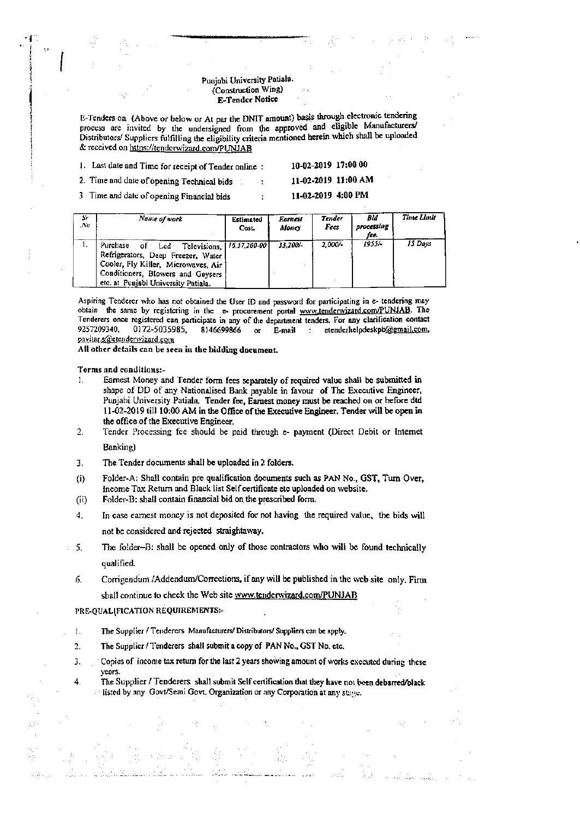## Punjabi University Patiala. (Construction Wing) E-Tender Notice

E-Tenders on (Above or below or At par the DNIT amount) basis through electronic tendering process are invited by the undersigned from the approved and eligible Manufacturers/ Distributors/ Suppliers fulfilling the eligibility criteria mentioned herein which shall be uploaded & received on https://tenderwizard.com/PUNJAB

| 1. Last date and Time for receipt of Tender online: | 10-02-2019 17:00 00 |
|-----------------------------------------------------|---------------------|
| 2. Time and date of opening Technical bids          | 11-02-2019 11:00 AM |
| 3. Time and date of opening Financial bide.         | 11-02-2019 4:00 PM  |

| s.<br>$\sim$ | Name of work                                                                                                                                                                                                    | Estimated<br>Cost. | Earnest<br>Money | <b>Tender</b><br>Fees | Bid<br>processing<br>fee. | Thue Limit |
|--------------|-----------------------------------------------------------------------------------------------------------------------------------------------------------------------------------------------------------------|--------------------|------------------|-----------------------|---------------------------|------------|
| ٠.           | Televisions, 16, 37, 200-00<br>Purchase<br>Led<br>οf<br>Refrigerators, Deep Freezer, Water<br>Cooler, Fly Killer, Microwaves, Air 1<br>Conditioners, Blowers and Geysers<br>etc. at Punjabi University Patiala. |                    | 33.200/-         | 2.000/-               | 1955/-                    | 15 Days    |

Aspiring Tenderer who has not obtained the User ID and password for participating in e- tendering may obtain the same by registering in the e- procurement portal www.tenderwizard.com/PUNJAB. The Tenderers once registered can participate in any of the department tenders. For any clarification contact 9257209340, 0172-5035985, 8146699866  $\mathbf{o}$ E-mail : etenderhelpdeskpb@gmail.com, pavitar.s@etenderwizard.com

All other details can be seen in the bidding document.

Terms and conditions:-

- Earnest Money and Tender form fees separately of required value shall be submitted in ħ. shape of DD of any Nationalised Bank payable in favour of The Executive Engineer, Punjabi University Patiala. Tender fee, Earnest money must be reached on or before dtd 11-02-2019 till 10:00 AM in the Office of the Executive Engineer. Tender will be open in the office of the Executive Engineer.
- $\overline{a}$ Tender Processing fee should be paid through e- payment (Direct Debit or Internet

Banking)

- $3<sub>r</sub>$ The Tender documents shall be uploaded in 2 folders.
- $(i)$ Folder-A: Shall contain pre qualification documents such as PAN No., GST, Turn Over, Income Tax Return and Black list Self certificate etc uploaded on website.
- $(ii)$ Folder-B: shall contain financial bid on the prescribed form.
- In case carnest money is not deposited for not having the required value, the bids will 4. not be considered and rejected straightaway.
- The folder-B: shall be opened only of those contractors who will be found technically 5. qualified.
- Corrigendum /Addendum/Corrections, if any will be published in the web site only. Firm б. shall continue to check the Web site www.tenderwizard.com/PUNJAB

PRE-QUALIFICATION REQUIREMENTS:-

- The Supplier / Tenderers Manufacturers/ Distributors/ Suppliers can be apply.  $\mathbf{I}$ .
- The Supplier / Tenderers shall submit a copy of PAN No., GST No. etc.  $2.$
- Copies of income tax return for the last 2 years showing amount of works executed during these  $\overline{3}$ . years.
- $\overline{4}$ The Supplier / Tenderers shall submit Self certification that they have not been debarred/black listed by any Govt/Semi Govt. Organization or any Corporation at any stage.